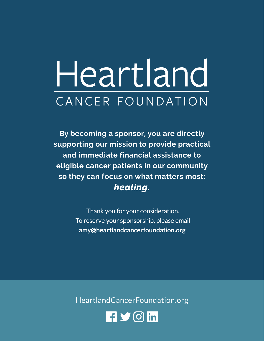## Heartland CANCER FOUNDATION

**By becoming a sponsor, you are directly supporting our mission to provide practical and immediate financial assistance to eligible cancer patients in our community so they can focus on what matters most:**  *healing.*

> Thank you for your consideration. To reserve your sponsorship, please email **amy@heartlandcancerfoundation.org**.

HeartlandCancerFoundation.org